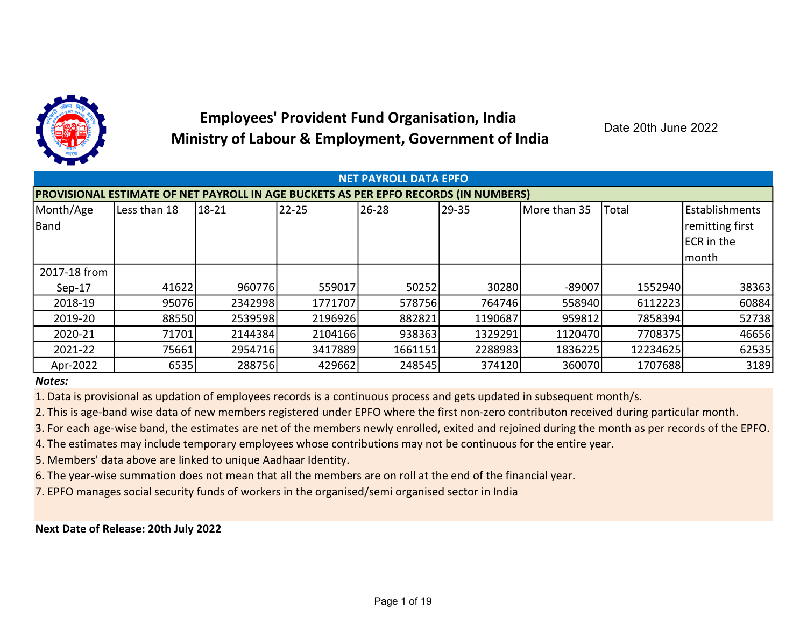

## Employees' Provident Fund Organisation, India Ministry of Labour & Employment, Government of India

Date 20th June 2022

|              |                                                                                            |         |         | <b>NET PAYROLL DATA EPFO</b> |         |              |              |                    |  |  |
|--------------|--------------------------------------------------------------------------------------------|---------|---------|------------------------------|---------|--------------|--------------|--------------------|--|--|
|              | <b>PROVISIONAL ESTIMATE OF NET PAYROLL IN AGE BUCKETS AS PER EPFO RECORDS (IN NUMBERS)</b> |         |         |                              |         |              |              |                    |  |  |
| Month/Age    | Less than 18                                                                               | 18-21   | 22-25   | $126 - 28$                   | 29-35   | More than 35 | <b>Total</b> | l Establishments   |  |  |
| Band         |                                                                                            |         |         |                              |         |              |              | remitting first    |  |  |
|              |                                                                                            |         |         |                              |         |              |              | <b>IECR</b> in the |  |  |
|              |                                                                                            |         |         |                              |         |              |              | lmonth             |  |  |
| 2017-18 from |                                                                                            |         |         |                              |         |              |              |                    |  |  |
| $Sep-17$     | 41622                                                                                      | 960776  | 559017  | 50252                        | 30280   | $-89007$     | 1552940      | 38363              |  |  |
| 2018-19      | 95076                                                                                      | 2342998 | 1771707 | 578756                       | 764746  | 558940       | 6112223      | 60884              |  |  |
| 2019-20      | 88550                                                                                      | 2539598 | 2196926 | 882821                       | 1190687 | 959812       | 7858394      | 52738              |  |  |
| 2020-21      | 71701                                                                                      | 2144384 | 2104166 | 938363                       | 1329291 | 1120470      | 7708375      | 46656              |  |  |
| 2021-22      | 75661                                                                                      | 2954716 | 3417889 | 1661151                      | 2288983 | 1836225      | 12234625     | 62535              |  |  |
| Apr-2022     | 6535                                                                                       | 288756  | 429662  | 248545                       | 374120  | 360070       | 1707688      | 3189               |  |  |

## Notes:

1. Data is provisional as updation of employees records is a continuous process and gets updated in subsequent month/s.

2. This is age-band wise data of new members registered under EPFO where the first non-zero contributon received during particular month.

3. For each age-wise band, the estimates are net of the members newly enrolled, exited and rejoined during the month as per records of the EPFO.

4. The estimates may include temporary employees whose contributions may not be continuous for the entire year.

5. Members' data above are linked to unique Aadhaar Identity.

6. The year-wise summation does not mean that all the members are on roll at the end of the financial year.

7. EPFO manages social security funds of workers in the organised/semi organised sector in India

Next Date of Release: 20th July 2022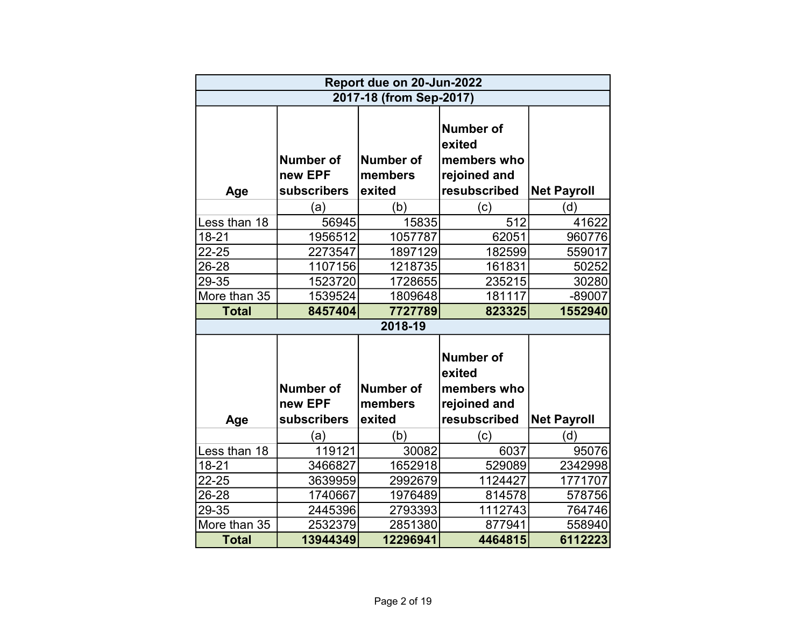|              |                                            | Report due on 20-Jun-2022             |                                                                           |                    |
|--------------|--------------------------------------------|---------------------------------------|---------------------------------------------------------------------------|--------------------|
|              |                                            | 2017-18 (from Sep-2017)               |                                                                           |                    |
| Age          | <b>Number of</b><br>new EPF<br>subscribers | <b>Number of</b><br>members<br>exited | <b>Number of</b><br>exited<br>members who<br>rejoined and<br>resubscribed | <b>Net Payroll</b> |
|              | (a)                                        | (b)                                   | (c)                                                                       | (d)                |
| Less than 18 | 56945                                      | 15835                                 | 512                                                                       | 41622              |
| $18 - 21$    | 1956512                                    | 1057787                               | 62051                                                                     | 960776             |
| 22-25        | 2273547                                    | 1897129                               | 182599                                                                    | 559017             |
| 26-28        | 1107156                                    | 1218735                               | 161831                                                                    | 50252              |
| 29-35        | 1523720                                    | 1728655                               | 235215                                                                    | 30280              |
| More than 35 | 1539524                                    | 1809648                               | 181117                                                                    | $-89007$           |
| <b>Total</b> | 8457404                                    | 7727789                               | 823325                                                                    | 1552940            |
|              |                                            | 2018-19                               |                                                                           |                    |
|              | <b>Number of</b><br>new EPF                | <b>Number of</b><br>members           | <b>Number of</b><br>exited<br>members who<br>rejoined and                 |                    |
| Age          | subscribers                                | exited                                | resubscribed                                                              | <b>Net Payroll</b> |
|              | (a)                                        | (b)                                   | (c)                                                                       | (d)                |
| Less than 18 | 119121                                     | 30082                                 | 6037                                                                      | 95076              |
| $18 - 21$    | 3466827                                    | 1652918                               | 529089                                                                    | 2342998            |
| 22-25        | 3639959                                    | 2992679                               | 1124427                                                                   | 1771707            |
| 26-28        | 1740667                                    | 1976489                               | 814578                                                                    | 578756             |
| 29-35        | 2445396                                    | 2793393                               | 1112743                                                                   | 764746             |
| More than 35 | 2532379                                    | 2851380                               | 877941                                                                    | 558940             |
| <b>Total</b> | 13944349                                   | 12296941                              | 4464815                                                                   | 6112223            |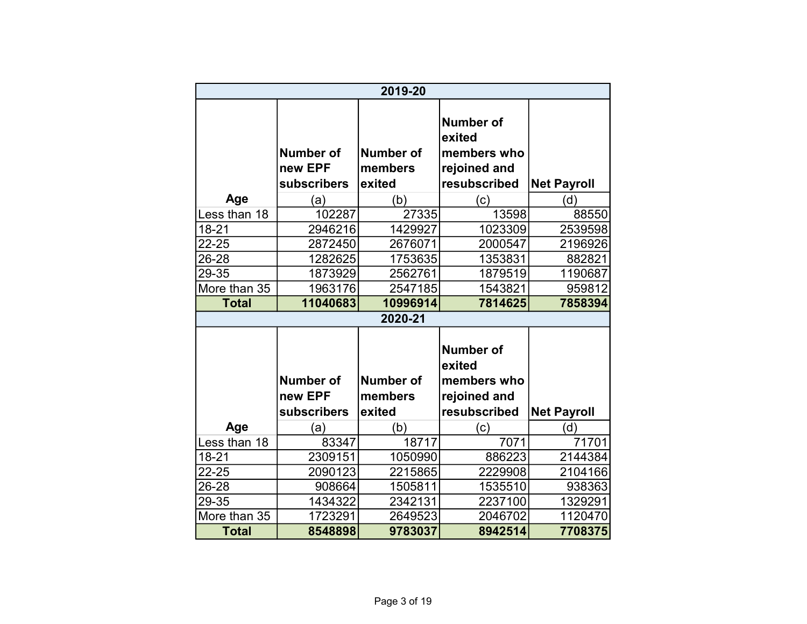|                              |                                     | 2019-20                               |                                                                           |                    |
|------------------------------|-------------------------------------|---------------------------------------|---------------------------------------------------------------------------|--------------------|
|                              | Number of<br>new EPF<br>subscribers | <b>Number of</b><br>members<br>exited | <b>Number of</b><br>exited<br>members who<br>rejoined and<br>resubscribed | <b>Net Payroll</b> |
| Age                          | (a)                                 | (b)                                   | (c)                                                                       | (d)                |
| Less than 18                 | 102287                              | 27335                                 | 13598                                                                     | 88550              |
| $18 - 21$                    | 2946216                             | 1429927                               | 1023309                                                                   | 2539598            |
| 22-25                        | 2872450                             | 2676071                               | 2000547                                                                   | 2196926            |
| 26-28                        | 1282625                             | 1753635                               | 1353831                                                                   | 882821             |
| 29-35                        | 1873929                             | 2562761                               | 1879519                                                                   | 1190687            |
| More than 35                 | 1963176                             | 2547185                               | 1543821                                                                   | 959812             |
| <b>Total</b>                 | 11040683                            | 10996914                              | 7814625                                                                   | 7858394            |
|                              |                                     | 2020-21                               |                                                                           |                    |
|                              | <b>Number of</b><br>new EPF         | <b>Number of</b><br>members           | <b>Number of</b><br>exited<br>members who<br>rejoined and                 |                    |
|                              | subscribers                         | exited                                | resubscribed                                                              | <b>Net Payroll</b> |
| Age                          | (a)                                 | (b)                                   | (c)                                                                       | (d)                |
| Less than 18                 | 83347                               | 18717                                 | 7071                                                                      | 71701              |
| 18-21                        | 2309151                             | 1050990                               | 886223                                                                    | 2144384            |
| 22-25                        | 2090123                             | 2215865                               | 2229908                                                                   | 2104166            |
| 26-28                        | 908664                              | 1505811                               | 1535510                                                                   | 938363             |
| 29-35                        | 1434322                             | 2342131                               | 2237100                                                                   | 1329291            |
|                              |                                     |                                       |                                                                           |                    |
| More than 35<br><b>Total</b> | 1723291<br>8548898                  | 2649523<br>9783037                    | 2046702<br>8942514                                                        | 1120470<br>7708375 |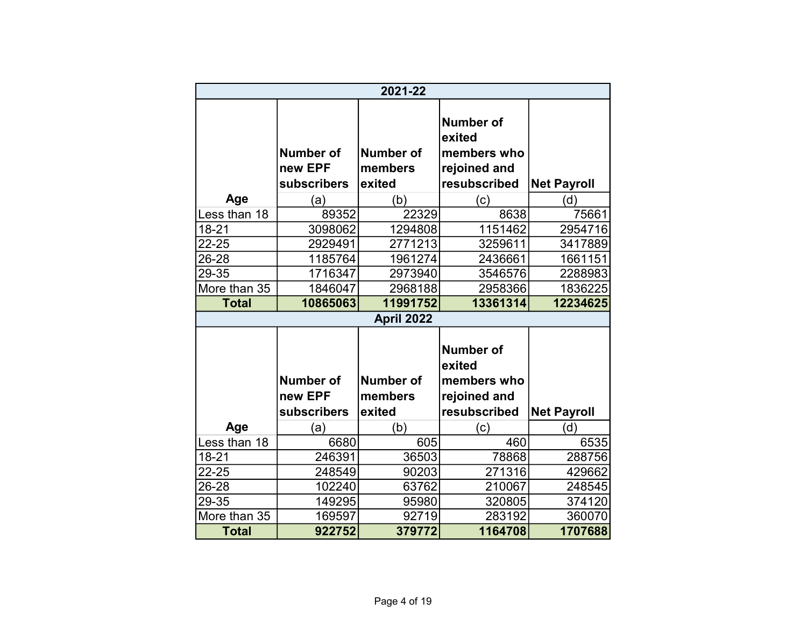|              |                                            | 2021-22                               |                                                                           |                    |
|--------------|--------------------------------------------|---------------------------------------|---------------------------------------------------------------------------|--------------------|
|              | Number of<br>new EPF<br>subscribers        | <b>Number of</b><br>members<br>exited | <b>Number of</b><br>exited<br>members who<br>rejoined and<br>resubscribed | <b>Net Payroll</b> |
| Age          | (a)                                        | (b)                                   | (c)                                                                       | (d)                |
| Less than 18 | 89352                                      | 22329                                 | 8638                                                                      | 75661              |
| $18 - 21$    | 3098062                                    | 1294808                               | 1151462                                                                   | 2954716            |
| 22-25        | 2929491                                    | 2771213                               | 3259611                                                                   | 3417889            |
| 26-28        | 1185764                                    | 1961274                               | 2436661                                                                   | 1661151            |
| 29-35        | 1716347                                    | 2973940                               | 3546576                                                                   | 2288983            |
| More than 35 | 1846047                                    | 2968188                               | 2958366                                                                   | 1836225            |
| <b>Total</b> | 10865063                                   | 11991752                              | 13361314                                                                  | 12234625           |
|              |                                            | April 2022                            |                                                                           |                    |
|              | <b>Number of</b><br>new EPF<br>subscribers | <b>Number of</b><br>members<br>exited | <b>Number of</b><br>exited<br>members who<br>rejoined and<br>resubscribed | <b>Net Payroll</b> |
| Age          | (a)                                        | (b)                                   | (c)                                                                       | (d)                |
| Less than 18 | 6680                                       | 605                                   | 460                                                                       | 6535               |
| 18-21        | 246391                                     | 36503                                 | 78868                                                                     | 288756             |
| 22-25        | 248549                                     | 90203                                 | 271316                                                                    | 429662             |
| 26-28        | 102240                                     | 63762                                 | 210067                                                                    | 248545             |
| 29-35        | 149295                                     | 95980                                 | 320805                                                                    | 374120             |
| More than 35 | 169597                                     | 92719                                 | 283192                                                                    | 360070             |
| <b>Total</b> | 922752                                     | 379772                                | 1164708                                                                   | 1707688            |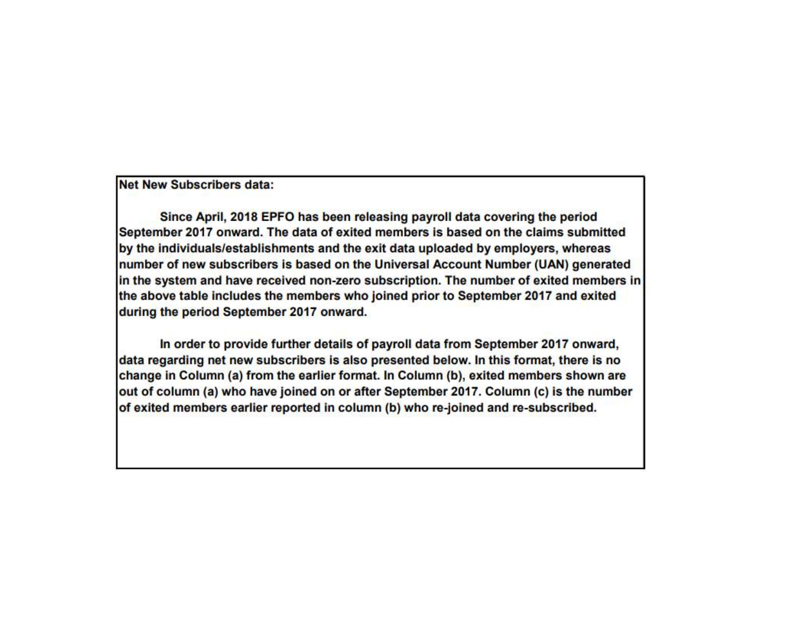**Net New Subscribers data:** 

Since April, 2018 EPFO has been releasing payroll data covering the period September 2017 onward. The data of exited members is based on the claims submitted by the individuals/establishments and the exit data uploaded by employers, whereas number of new subscribers is based on the Universal Account Number (UAN) generated in the system and have received non-zero subscription. The number of exited members in the above table includes the members who joined prior to September 2017 and exited during the period September 2017 onward.

In order to provide further details of payroll data from September 2017 onward, data regarding net new subscribers is also presented below. In this format, there is no change in Column (a) from the earlier format. In Column (b), exited members shown are out of column (a) who have joined on or after September 2017. Column (c) is the number of exited members earlier reported in column (b) who re-joined and re-subscribed.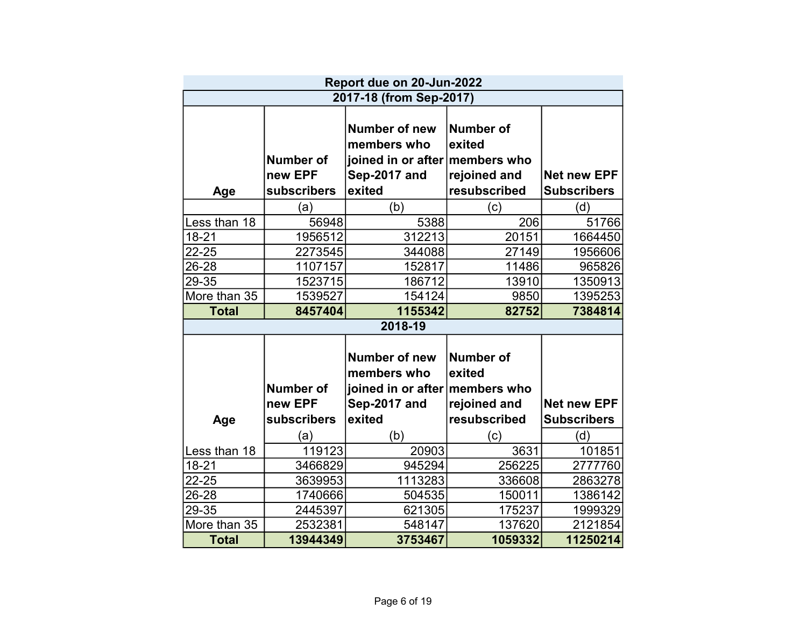|              |                                            | Report due on 20-Jun-2022                                                                |                                                            |                                          |
|--------------|--------------------------------------------|------------------------------------------------------------------------------------------|------------------------------------------------------------|------------------------------------------|
|              |                                            | 2017-18 (from Sep-2017)                                                                  |                                                            |                                          |
| Age          | <b>Number of</b><br>new EPF<br>subscribers | Number of new<br>members who<br>joined in or after members who<br>Sep-2017 and<br>exited | <b>Number of</b><br>exited<br>rejoined and<br>resubscribed | <b>Net new EPF</b><br><b>Subscribers</b> |
|              | (a)                                        | (b)                                                                                      | (c)                                                        | (d)                                      |
| Less than 18 | 56948                                      | 5388                                                                                     | 206                                                        | 51766                                    |
| 18-21        | 1956512                                    | 312213                                                                                   | 20151                                                      | 1664450                                  |
| 22-25        | 2273545                                    | 344088                                                                                   | 27149                                                      | 1956606                                  |
| 26-28        | 1107157                                    | 152817                                                                                   | 11486                                                      | 965826                                   |
| 29-35        | 1523715                                    | 186712                                                                                   | 13910                                                      | 1350913                                  |
| More than 35 | 1539527                                    | 154124                                                                                   | 9850                                                       | 1395253                                  |
| <b>Total</b> | 8457404                                    | 1155342                                                                                  | 82752                                                      | 7384814                                  |
|              |                                            | 2018-19                                                                                  |                                                            |                                          |
|              | <b>Number of</b>                           | <b>Number of new</b><br>members who<br>joined in or after members who                    | <b>Number of</b><br>exited                                 |                                          |
|              | new EPF                                    | Sep-2017 and                                                                             | rejoined and                                               | <b>Net new EPF</b>                       |
| Age          | subscribers                                | exited                                                                                   | resubscribed                                               | <b>Subscribers</b>                       |
|              | (a)                                        | (b)                                                                                      | (c)                                                        | (d)                                      |
| Less than 18 | 119123                                     | 20903                                                                                    | 3631                                                       | 101851                                   |
| 18-21        | 3466829                                    | 945294                                                                                   | 256225                                                     | 2777760                                  |
| 22-25        | 3639953                                    | 1113283                                                                                  | 336608                                                     | 2863278                                  |
| 26-28        | 1740666                                    | 504535                                                                                   | 150011                                                     | 1386142                                  |
| 29-35        | 2445397                                    | 621305                                                                                   | 175237                                                     | 1999329                                  |
| More than 35 | 2532381                                    | 548147                                                                                   | 137620                                                     | 2121854                                  |
| <b>Total</b> | 13944349                                   | 3753467                                                                                  | 1059332                                                    | 11250214                                 |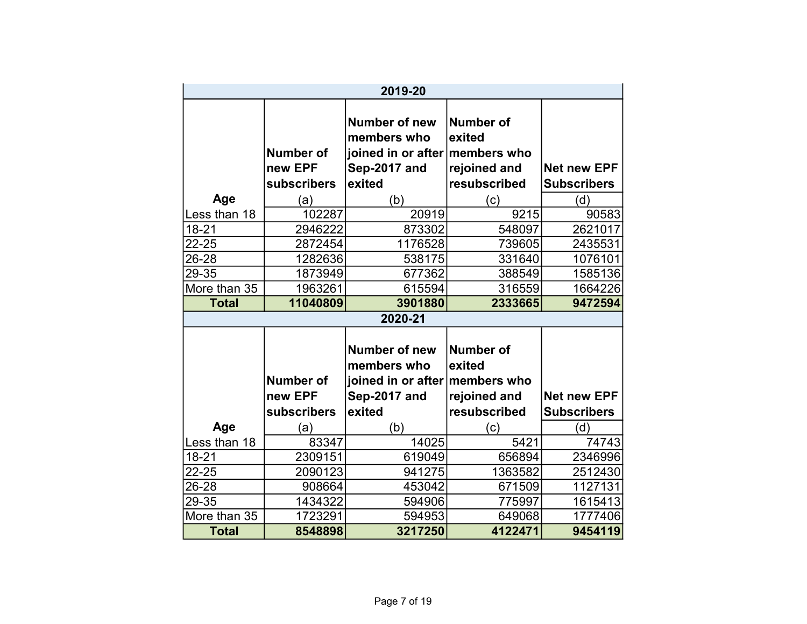|                    |                                            | 2019-20                                                                                         |                                                            |                                          |
|--------------------|--------------------------------------------|-------------------------------------------------------------------------------------------------|------------------------------------------------------------|------------------------------------------|
|                    | <b>Number of</b><br>new EPF<br>subscribers | <b>Number of new</b><br>members who<br>joined in or after members who<br>Sep-2017 and<br>exited | <b>Number of</b><br>exited<br>rejoined and<br>resubscribed | <b>Net new EPF</b><br><b>Subscribers</b> |
| Age                | (a)                                        | (b)                                                                                             | (c)                                                        | (d)                                      |
| Less than 18       | 102287                                     | 20919                                                                                           | 9215                                                       | 90583                                    |
| $18 - 21$<br>22-25 | 2946222                                    | 873302                                                                                          | 548097                                                     | 2621017                                  |
|                    | 2872454                                    | 1176528                                                                                         | 739605                                                     | 2435531                                  |
| 26-28              | 1282636                                    | 538175                                                                                          | 331640                                                     | 1076101                                  |
| 29-35              | 1873949                                    | 677362                                                                                          | 388549                                                     | 1585136                                  |
| More than 35       | 1963261                                    | 615594                                                                                          | 316559                                                     | 1664226                                  |
| <b>Total</b>       | 11040809                                   | 3901880                                                                                         | 2333665                                                    | 9472594                                  |
|                    |                                            | 2020-21                                                                                         |                                                            |                                          |
|                    | <b>Number of</b>                           | <b>Number of new</b><br>members who<br>joined in or after members who                           | <b>Number of</b><br>exited                                 |                                          |
|                    | new EPF                                    | Sep-2017 and                                                                                    | rejoined and                                               | <b>Net new EPF</b>                       |
|                    | subscribers                                | exited                                                                                          | resubscribed                                               | <b>Subscribers</b>                       |
| Age                | (a)                                        | (b)                                                                                             | (c)                                                        | (d)                                      |
| Less than 18       | 83347                                      | 14025                                                                                           | 5421                                                       | 74743                                    |
| 18-21              | 2309151                                    | 619049                                                                                          | 656894                                                     | 2346996                                  |
| 22-25              | 2090123                                    | 941275                                                                                          | 1363582                                                    | 2512430                                  |
| 26-28              | 908664                                     | 453042                                                                                          | 671509                                                     | 1127131                                  |
| 29-35              | 1434322                                    | 594906                                                                                          | 775997                                                     | 1615413                                  |
| More than 35       | 1723291                                    | 594953                                                                                          | 649068                                                     | 1777406                                  |
| <b>Total</b>       | 8548898                                    | 3217250                                                                                         | 4122471                                                    | 9454119                                  |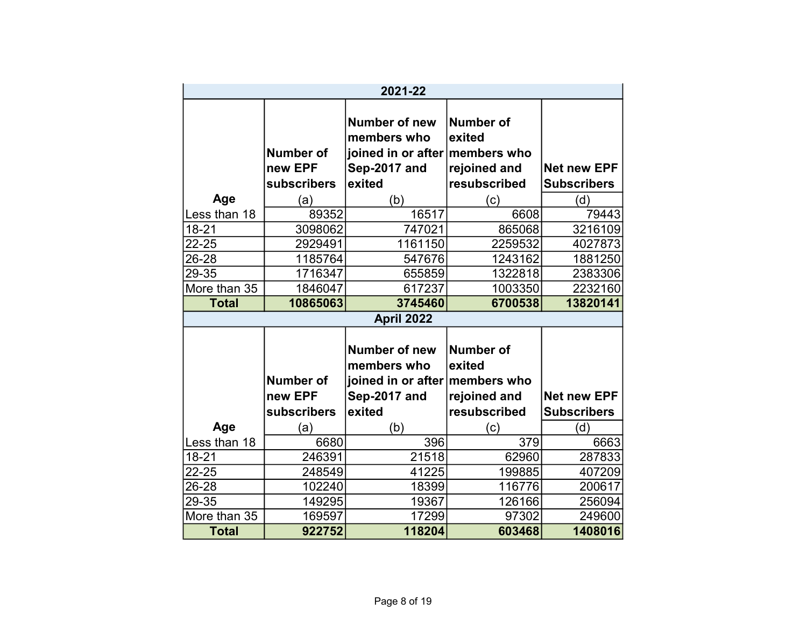|                |                                                   | 2021-22                                                                                                |                                                                   |                                                 |
|----------------|---------------------------------------------------|--------------------------------------------------------------------------------------------------------|-------------------------------------------------------------------|-------------------------------------------------|
| Age            | <b>Number of</b><br>new EPF<br>subscribers<br>(a) | <b>Number of new</b><br>members who<br>joined in or after members who<br>Sep-2017 and<br>exited<br>(b) | <b>Number of</b><br>exited<br>rejoined and<br>resubscribed<br>(c) | <b>Net new EPF</b><br><b>Subscribers</b><br>(d) |
| Less than 18   | 89352                                             | 16517                                                                                                  | 6608                                                              | 79443                                           |
| $18 - 21$      | 3098062                                           | 747021                                                                                                 | 865068                                                            | 3216109                                         |
| 22-25          | 2929491                                           | 1161150                                                                                                | 2259532                                                           | 4027873                                         |
| 26-28          | 1185764                                           | 547676                                                                                                 | 1243162                                                           | 1881250                                         |
| 29-35          | 1716347                                           | 655859                                                                                                 | 1322818                                                           | 2383306                                         |
| More than 35   | 1846047                                           | 617237                                                                                                 | 1003350                                                           | 2232160                                         |
| <b>Total</b>   | 10865063                                          | 3745460                                                                                                | 6700538                                                           | 13820141                                        |
|                |                                                   | April 2022                                                                                             |                                                                   |                                                 |
|                |                                                   | Number of new<br>members who                                                                           | <b>Number of</b><br>exited                                        |                                                 |
|                | <b>Number of</b>                                  | joined in or after members who                                                                         |                                                                   |                                                 |
|                | new EPF                                           | Sep-2017 and                                                                                           | rejoined and                                                      | <b>Net new EPF</b>                              |
|                | subscribers                                       | exited                                                                                                 | resubscribed                                                      | <b>Subscribers</b>                              |
| Age            | (a)                                               | (b)                                                                                                    | (c)                                                               | (d)                                             |
| Less than 18   | 6680                                              | 396                                                                                                    | 379<br>62960                                                      | 6663                                            |
| 18-21<br>22-25 | 246391<br>248549                                  | 21518<br>41225                                                                                         | 199885                                                            | 287833<br>407209                                |
| 26-28          | 102240                                            | 18399                                                                                                  | 116776                                                            | 200617                                          |
| 29-35          | 149295                                            | 19367                                                                                                  | 126166                                                            | 256094                                          |
| More than 35   | 169597                                            | 17299                                                                                                  | 97302                                                             | 249600                                          |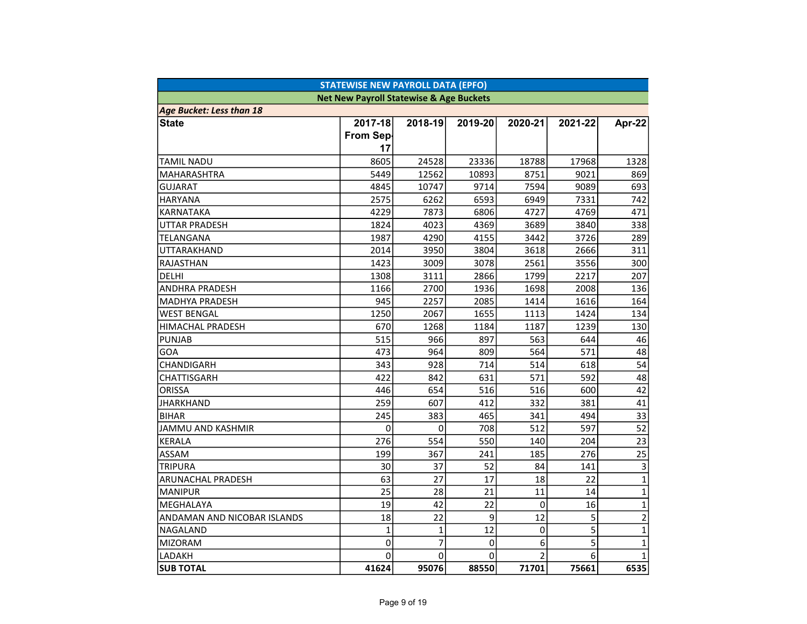| <b>STATEWISE NEW PAYROLL DATA (EPFO)</b> |                                                    |                |         |                |         |                |  |
|------------------------------------------|----------------------------------------------------|----------------|---------|----------------|---------|----------------|--|
|                                          | <b>Net New Payroll Statewise &amp; Age Buckets</b> |                |         |                |         |                |  |
| <b>Age Bucket: Less than 18</b>          |                                                    |                |         |                |         |                |  |
| <b>State</b>                             | 2017-18                                            | 2018-19        | 2019-20 | 2020-21        | 2021-22 | Apr-22         |  |
|                                          | From Sep-                                          |                |         |                |         |                |  |
|                                          | 17                                                 |                |         |                |         |                |  |
| TAMIL NADU                               | 8605                                               | 24528          | 23336   | 18788          | 17968   | 1328           |  |
| MAHARASHTRA                              | 5449                                               | 12562          | 10893   | 8751           | 9021    | 869            |  |
| GUJARAT                                  | 4845                                               | 10747          | 9714    | 7594           | 9089    | 693            |  |
| <b>HARYANA</b>                           | 2575                                               | 6262           | 6593    | 6949           | 7331    | 742            |  |
| KARNATAKA                                | 4229                                               | 7873           | 6806    | 4727           | 4769    | 471            |  |
| <b>UTTAR PRADESH</b>                     | 1824                                               | 4023           | 4369    | 3689           | 3840    | 338            |  |
| TELANGANA                                | 1987                                               | 4290           | 4155    | 3442           | 3726    | 289            |  |
| UTTARAKHAND                              | 2014                                               | 3950           | 3804    | 3618           | 2666    | 311            |  |
| RAJASTHAN                                | 1423                                               | 3009           | 3078    | 2561           | 3556    | 300            |  |
| <b>DELHI</b>                             | 1308                                               | 3111           | 2866    | 1799           | 2217    | 207            |  |
| ANDHRA PRADESH                           | 1166                                               | 2700           | 1936    | 1698           | 2008    | 136            |  |
| MADHYA PRADESH                           | 945                                                | 2257           | 2085    | 1414           | 1616    | 164            |  |
| <b>WEST BENGAL</b>                       | 1250                                               | 2067           | 1655    | 1113           | 1424    | 134            |  |
| HIMACHAL PRADESH                         | 670                                                | 1268           | 1184    | 1187           | 1239    | 130            |  |
| <b>PUNJAB</b>                            | 515                                                | 966            | 897     | 563            | 644     | 46             |  |
| GOA                                      | 473                                                | 964            | 809     | 564            | 571     | 48             |  |
| CHANDIGARH                               | 343                                                | 928            | 714     | 514            | 618     | 54             |  |
| <b>CHATTISGARH</b>                       | 422                                                | 842            | 631     | 571            | 592     | 48             |  |
| <b>ORISSA</b>                            | 446                                                | 654            | 516     | 516            | 600     | 42             |  |
| <b>JHARKHAND</b>                         | 259                                                | 607            | 412     | 332            | 381     | 41             |  |
| <b>BIHAR</b>                             | 245                                                | 383            | 465     | 341            | 494     | 33             |  |
| JAMMU AND KASHMIR                        | 0                                                  | 0              | 708     | 512            | 597     | 52             |  |
| <b>KERALA</b>                            | 276                                                | 554            | 550     | 140            | 204     | 23             |  |
| ASSAM                                    | 199                                                | 367            | 241     | 185            | 276     | 25             |  |
| <b>TRIPURA</b>                           | 30                                                 | 37             | 52      | 84             | 141     | 3              |  |
| ARUNACHAL PRADESH                        | 63                                                 | 27             | 17      | 18             | 22      | $\mathbf{1}$   |  |
| <b>MANIPUR</b>                           | 25                                                 | 28             | 21      | 11             | 14      | $\mathbf{1}$   |  |
| MEGHALAYA                                | 19                                                 | 42             | 22      | $\mathbf 0$    | 16      | $\mathbf{1}$   |  |
| ANDAMAN AND NICOBAR ISLANDS              | 18                                                 | 22             | 9       | 12             | 5       | $\overline{c}$ |  |
| NAGALAND                                 | $\mathbf{1}$                                       | $\mathbf{1}$   | 12      | $\Omega$       | 5       | $\mathbf{1}$   |  |
| <b>MIZORAM</b>                           | 0                                                  | $\overline{7}$ | 0       | 6              | 5       | $\mathbf{1}$   |  |
| LADAKH                                   | 0                                                  | 0              | 0       | $\overline{2}$ | 6       | $\mathbf{1}$   |  |
| <b>SUB TOTAL</b>                         | 41624                                              | 95076          | 88550   | 71701          | 75661   | 6535           |  |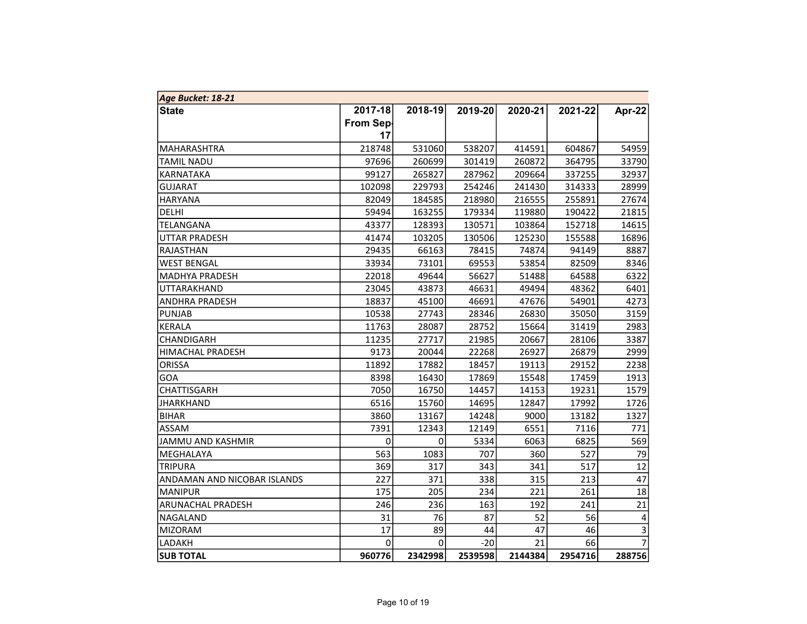| Age Bucket: 18-21           |             |         |         |         |         |                |
|-----------------------------|-------------|---------|---------|---------|---------|----------------|
| <b>State</b>                | 2017-18     | 2018-19 | 2019-20 | 2020-21 | 2021-22 | Apr-22         |
|                             | From Sep-   |         |         |         |         |                |
|                             | 17          |         |         |         |         |                |
| MAHARASHTRA                 | 218748      | 531060  | 538207  | 414591  | 604867  | 54959          |
| <b>TAMIL NADU</b>           | 97696       | 260699  | 301419  | 260872  | 364795  | 33790          |
| KARNATAKA                   | 99127       | 265827  | 287962  | 209664  | 337255  | 32937          |
| <b>GUJARAT</b>              | 102098      | 229793  | 254246  | 241430  | 314333  | 28999          |
| <b>HARYANA</b>              | 82049       | 184585  | 218980  | 216555  | 255891  | 27674          |
| <b>DELHI</b>                | 59494       | 163255  | 179334  | 119880  | 190422  | 21815          |
| TELANGANA                   | 43377       | 128393  | 130571  | 103864  | 152718  | 14615          |
| <b>UTTAR PRADESH</b>        | 41474       | 103205  | 130506  | 125230  | 155588  | 16896          |
| RAJASTHAN                   | 29435       | 66163   | 78415   | 74874   | 94149   | 8887           |
| <b>WEST BENGAL</b>          | 33934       | 73101   | 69553   | 53854   | 82509   | 8346           |
| <b>MADHYA PRADESH</b>       | 22018       | 49644   | 56627   | 51488   | 64588   | 6322           |
| UTTARAKHAND                 | 23045       | 43873   | 46631   | 49494   | 48362   | 6401           |
| <b>ANDHRA PRADESH</b>       | 18837       | 45100   | 46691   | 47676   | 54901   | 4273           |
| <b>PUNJAB</b>               | 10538       | 27743   | 28346   | 26830   | 35050   | 3159           |
| KERALA                      | 11763       | 28087   | 28752   | 15664   | 31419   | 2983           |
| CHANDIGARH                  | 11235       | 27717   | 21985   | 20667   | 28106   | 3387           |
| <b>HIMACHAL PRADESH</b>     | 9173        | 20044   | 22268   | 26927   | 26879   | 2999           |
| ORISSA                      | 11892       | 17882   | 18457   | 19113   | 29152   | 2238           |
| GOA                         | 8398        | 16430   | 17869   | 15548   | 17459   | 1913           |
| <b>CHATTISGARH</b>          | 7050        | 16750   | 14457   | 14153   | 19231   | 1579           |
| <b>JHARKHAND</b>            | 6516        | 15760   | 14695   | 12847   | 17992   | 1726           |
| <b>BIHAR</b>                | 3860        | 13167   | 14248   | 9000    | 13182   | 1327           |
| <b>ASSAM</b>                | 7391        | 12343   | 12149   | 6551    | 7116    | 771            |
| JAMMU AND KASHMIR           | $\mathbf 0$ | 0       | 5334    | 6063    | 6825    | 569            |
| MEGHALAYA                   | 563         | 1083    | 707     | 360     | 527     | 79             |
| <b>TRIPURA</b>              | 369         | 317     | 343     | 341     | 517     | 12             |
| ANDAMAN AND NICOBAR ISLANDS | 227         | 371     | 338     | 315     | 213     | 47             |
| <b>MANIPUR</b>              | 175         | 205     | 234     | 221     | 261     | 18             |
| ARUNACHAL PRADESH           | 246         | 236     | 163     | 192     | 241     | 21             |
| NAGALAND                    | 31          | 76      | 87      | 52      | 56      | 4              |
| MIZORAM                     | 17          | 89      | 44      | 47      | 46      | 3              |
| LADAKH                      | 0           | 0       | $-20$   | 21      | 66      | $\overline{7}$ |
| <b>SUB TOTAL</b>            | 960776      | 2342998 | 2539598 | 2144384 | 2954716 | 288756         |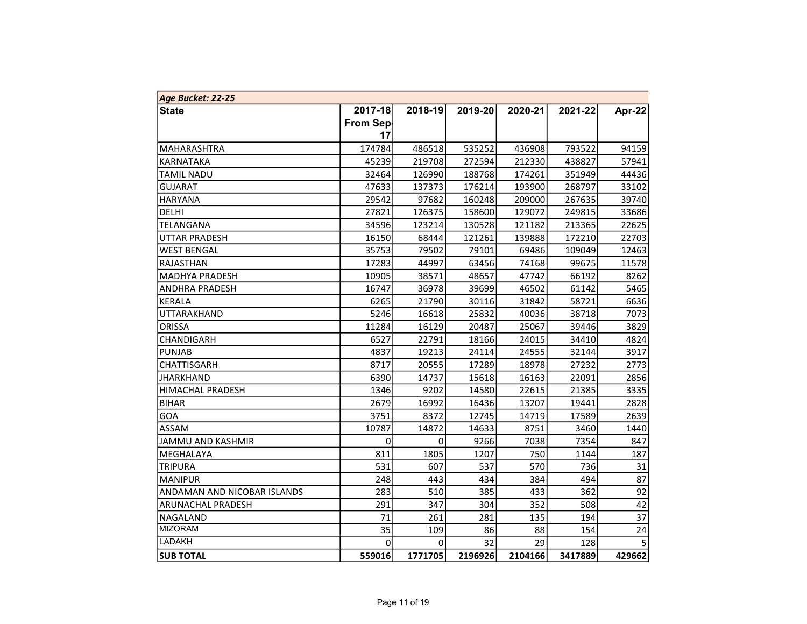| Age Bucket: 22-25           |                  |         |         |         |         |        |
|-----------------------------|------------------|---------|---------|---------|---------|--------|
| <b>State</b>                | 2017-18          | 2018-19 | 2019-20 | 2020-21 | 2021-22 | Apr-22 |
|                             | <b>From Sep-</b> |         |         |         |         |        |
|                             | 17               |         |         |         |         |        |
| MAHARASHTRA                 | 174784           | 486518  | 535252  | 436908  | 793522  | 94159  |
| KARNATAKA                   | 45239            | 219708  | 272594  | 212330  | 438827  | 57941  |
| <b>TAMIL NADU</b>           | 32464            | 126990  | 188768  | 174261  | 351949  | 44436  |
| <b>GUJARAT</b>              | 47633            | 137373  | 176214  | 193900  | 268797  | 33102  |
| <b>HARYANA</b>              | 29542            | 97682   | 160248  | 209000  | 267635  | 39740  |
| DELHI                       | 27821            | 126375  | 158600  | 129072  | 249815  | 33686  |
| TELANGANA                   | 34596            | 123214  | 130528  | 121182  | 213365  | 22625  |
| UTTAR PRADESH               | 16150            | 68444   | 121261  | 139888  | 172210  | 22703  |
| <b>WEST BENGAL</b>          | 35753            | 79502   | 79101   | 69486   | 109049  | 12463  |
| RAJASTHAN                   | 17283            | 44997   | 63456   | 74168   | 99675   | 11578  |
| MADHYA PRADESH              | 10905            | 38571   | 48657   | 47742   | 66192   | 8262   |
| ANDHRA PRADESH              | 16747            | 36978   | 39699   | 46502   | 61142   | 5465   |
| KERALA                      | 6265             | 21790   | 30116   | 31842   | 58721   | 6636   |
| UTTARAKHAND                 | 5246             | 16618   | 25832   | 40036   | 38718   | 7073   |
| <b>ORISSA</b>               | 11284            | 16129   | 20487   | 25067   | 39446   | 3829   |
| CHANDIGARH                  | 6527             | 22791   | 18166   | 24015   | 34410   | 4824   |
| <b>PUNJAB</b>               | 4837             | 19213   | 24114   | 24555   | 32144   | 3917   |
| CHATTISGARH                 | 8717             | 20555   | 17289   | 18978   | 27232   | 2773   |
| <b>JHARKHAND</b>            | 6390             | 14737   | 15618   | 16163   | 22091   | 2856   |
| <b>HIMACHAL PRADESH</b>     | 1346             | 9202    | 14580   | 22615   | 21385   | 3335   |
| <b>BIHAR</b>                | 2679             | 16992   | 16436   | 13207   | 19441   | 2828   |
| GOA                         | 3751             | 8372    | 12745   | 14719   | 17589   | 2639   |
| <b>ASSAM</b>                | 10787            | 14872   | 14633   | 8751    | 3460    | 1440   |
| JAMMU AND KASHMIR           | $\pmb{0}$        | 0       | 9266    | 7038    | 7354    | 847    |
| MEGHALAYA                   | 811              | 1805    | 1207    | 750     | 1144    | 187    |
| <b>TRIPURA</b>              | 531              | 607     | 537     | 570     | 736     | 31     |
| <b>MANIPUR</b>              | 248              | 443     | 434     | 384     | 494     | 87     |
| ANDAMAN AND NICOBAR ISLANDS | 283              | 510     | 385     | 433     | 362     | 92     |
| ARUNACHAL PRADESH           | 291              | 347     | 304     | 352     | 508     | 42     |
| NAGALAND                    | 71               | 261     | 281     | 135     | 194     | 37     |
| MIZORAM                     | 35               | 109     | 86      | 88      | 154     | 24     |
| LADAKH                      | 0                | 0       | 32      | 29      | 128     | 5      |
| <b>SUB TOTAL</b>            | 559016           | 1771705 | 2196926 | 2104166 | 3417889 | 429662 |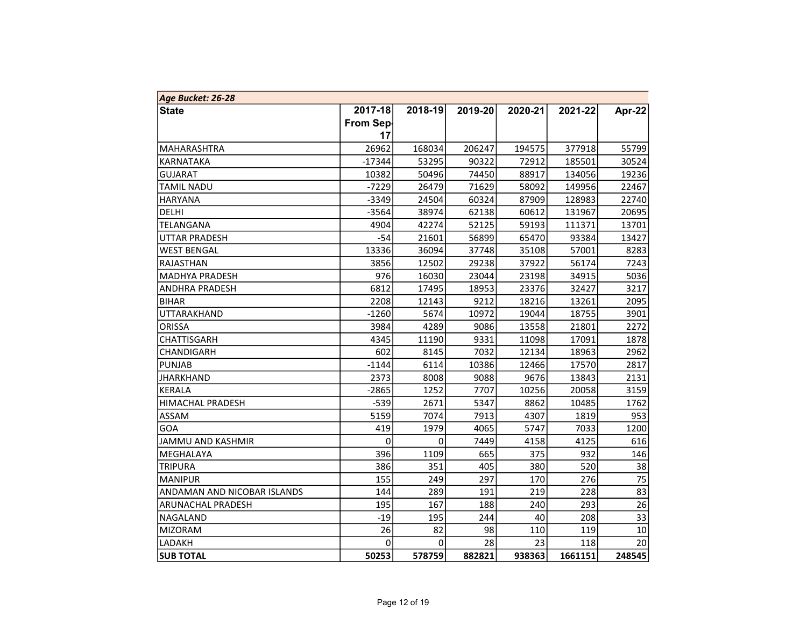| Age Bucket: 26-28           |           |           |         |         |         |        |
|-----------------------------|-----------|-----------|---------|---------|---------|--------|
| <b>State</b>                | 2017-18   | 2018-19   | 2019-20 | 2020-21 | 2021-22 | Apr-22 |
|                             | From Sep- |           |         |         |         |        |
|                             | 17        |           |         |         |         |        |
| MAHARASHTRA                 | 26962     | 168034    | 206247  | 194575  | 377918  | 55799  |
| KARNATAKA                   | $-17344$  | 53295     | 90322   | 72912   | 185501  | 30524  |
| <b>GUJARAT</b>              | 10382     | 50496     | 74450   | 88917   | 134056  | 19236  |
| <b>TAMIL NADU</b>           | $-7229$   | 26479     | 71629   | 58092   | 149956  | 22467  |
| <b>HARYANA</b>              | $-3349$   | 24504     | 60324   | 87909   | 128983  | 22740  |
| DELHI                       | $-3564$   | 38974     | 62138   | 60612   | 131967  | 20695  |
| TELANGANA                   | 4904      | 42274     | 52125   | 59193   | 111371  | 13701  |
| UTTAR PRADESH               | $-54$     | 21601     | 56899   | 65470   | 93384   | 13427  |
| <b>WEST BENGAL</b>          | 13336     | 36094     | 37748   | 35108   | 57001   | 8283   |
| <b>RAJASTHAN</b>            | 3856      | 12502     | 29238   | 37922   | 56174   | 7243   |
| MADHYA PRADESH              | 976       | 16030     | 23044   | 23198   | 34915   | 5036   |
| <b>ANDHRA PRADESH</b>       | 6812      | 17495     | 18953   | 23376   | 32427   | 3217   |
| BIHAR                       | 2208      | 12143     | 9212    | 18216   | 13261   | 2095   |
| UTTARAKHAND                 | $-1260$   | 5674      | 10972   | 19044   | 18755   | 3901   |
| ORISSA                      | 3984      | 4289      | 9086    | 13558   | 21801   | 2272   |
| <b>CHATTISGARH</b>          | 4345      | 11190     | 9331    | 11098   | 17091   | 1878   |
| CHANDIGARH                  | 602       | 8145      | 7032    | 12134   | 18963   | 2962   |
| <b>PUNJAB</b>               | $-1144$   | 6114      | 10386   | 12466   | 17570   | 2817   |
| <b>JHARKHAND</b>            | 2373      | 8008      | 9088    | 9676    | 13843   | 2131   |
| KERALA                      | $-2865$   | 1252      | 7707    | 10256   | 20058   | 3159   |
| <b>HIMACHAL PRADESH</b>     | $-539$    | 2671      | 5347    | 8862    | 10485   | 1762   |
| ASSAM                       | 5159      | 7074      | 7913    | 4307    | 1819    | 953    |
| GOA                         | 419       | 1979      | 4065    | 5747    | 7033    | 1200   |
| JAMMU AND KASHMIR           | 0         | $\pmb{0}$ | 7449    | 4158    | 4125    | 616    |
| MEGHALAYA                   | 396       | 1109      | 665     | 375     | 932     | 146    |
| <b>TRIPURA</b>              | 386       | 351       | 405     | 380     | 520     | 38     |
| <b>MANIPUR</b>              | 155       | 249       | 297     | 170     | 276     | 75     |
| ANDAMAN AND NICOBAR ISLANDS | 144       | 289       | 191     | 219     | 228     | 83     |
| ARUNACHAL PRADESH           | 195       | 167       | 188     | 240     | 293     | 26     |
| NAGALAND                    | $-19$     | 195       | 244     | 40      | 208     | 33     |
| MIZORAM                     | 26        | 82        | 98      | 110     | 119     | 10     |
| LADAKH                      | 0         | 0         | 28      | 23      | 118     | 20     |
| <b>SUB TOTAL</b>            | 50253     | 578759    | 882821  | 938363  | 1661151 | 248545 |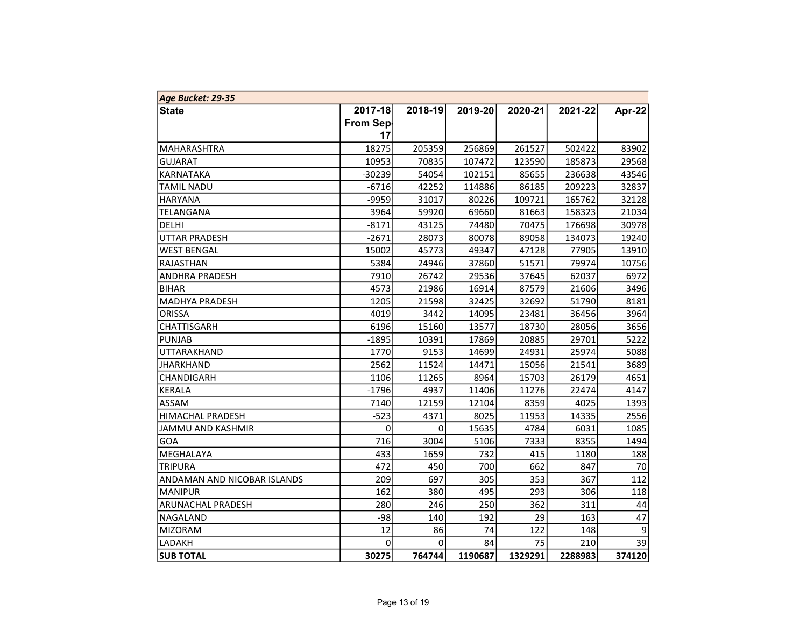| Age Bucket: 29-35           |                  |             |         |         |         |        |
|-----------------------------|------------------|-------------|---------|---------|---------|--------|
| <b>State</b>                | 2017-18          | 2018-19     | 2019-20 | 2020-21 | 2021-22 | Apr-22 |
|                             | <b>From Sep-</b> |             |         |         |         |        |
|                             | 17               |             |         |         |         |        |
| MAHARASHTRA                 | 18275            | 205359      | 256869  | 261527  | 502422  | 83902  |
| GUJARAT                     | 10953            | 70835       | 107472  | 123590  | 185873  | 29568  |
| KARNATAKA                   | $-30239$         | 54054       | 102151  | 85655   | 236638  | 43546  |
| <b>TAMIL NADU</b>           | $-6716$          | 42252       | 114886  | 86185   | 209223  | 32837  |
| <b>HARYANA</b>              | $-9959$          | 31017       | 80226   | 109721  | 165762  | 32128  |
| TELANGANA                   | 3964             | 59920       | 69660   | 81663   | 158323  | 21034  |
| DELHI                       | $-8171$          | 43125       | 74480   | 70475   | 176698  | 30978  |
| UTTAR PRADESH               | $-2671$          | 28073       | 80078   | 89058   | 134073  | 19240  |
| <b>WEST BENGAL</b>          | 15002            | 45773       | 49347   | 47128   | 77905   | 13910  |
| RAJASTHAN                   | 5384             | 24946       | 37860   | 51571   | 79974   | 10756  |
| ANDHRA PRADESH              | 7910             | 26742       | 29536   | 37645   | 62037   | 6972   |
| <b>BIHAR</b>                | 4573             | 21986       | 16914   | 87579   | 21606   | 3496   |
| <b>MADHYA PRADESH</b>       | 1205             | 21598       | 32425   | 32692   | 51790   | 8181   |
| <b>ORISSA</b>               | 4019             | 3442        | 14095   | 23481   | 36456   | 3964   |
| CHATTISGARH                 | 6196             | 15160       | 13577   | 18730   | 28056   | 3656   |
| <b>PUNJAB</b>               | $-1895$          | 10391       | 17869   | 20885   | 29701   | 5222   |
| UTTARAKHAND                 | 1770             | 9153        | 14699   | 24931   | 25974   | 5088   |
| <b>JHARKHAND</b>            | 2562             | 11524       | 14471   | 15056   | 21541   | 3689   |
| CHANDIGARH                  | 1106             | 11265       | 8964    | 15703   | 26179   | 4651   |
| KERALA                      | $-1796$          | 4937        | 11406   | 11276   | 22474   | 4147   |
| ASSAM                       | 7140             | 12159       | 12104   | 8359    | 4025    | 1393   |
| <b>HIMACHAL PRADESH</b>     | $-523$           | 4371        | 8025    | 11953   | 14335   | 2556   |
| JAMMU AND KASHMIR           | 0                | $\mathbf 0$ | 15635   | 4784    | 6031    | 1085   |
| GOA                         | 716              | 3004        | 5106    | 7333    | 8355    | 1494   |
| MEGHALAYA                   | 433              | 1659        | 732     | 415     | 1180    | 188    |
| <b>TRIPURA</b>              | 472              | 450         | 700     | 662     | 847     | 70     |
| ANDAMAN AND NICOBAR ISLANDS | 209              | 697         | 305     | 353     | 367     | 112    |
| <b>MANIPUR</b>              | 162              | 380         | 495     | 293     | 306     | 118    |
| ARUNACHAL PRADESH           | 280              | 246         | 250     | 362     | 311     | 44     |
| NAGALAND                    | $-98$            | 140         | 192     | 29      | 163     | 47     |
| MIZORAM                     | 12               | 86          | 74      | 122     | 148     | 9      |
| LADAKH                      | 0                | 0           | 84      | 75      | 210     | 39     |
| <b>SUB TOTAL</b>            | 30275            | 764744      | 1190687 | 1329291 | 2288983 | 374120 |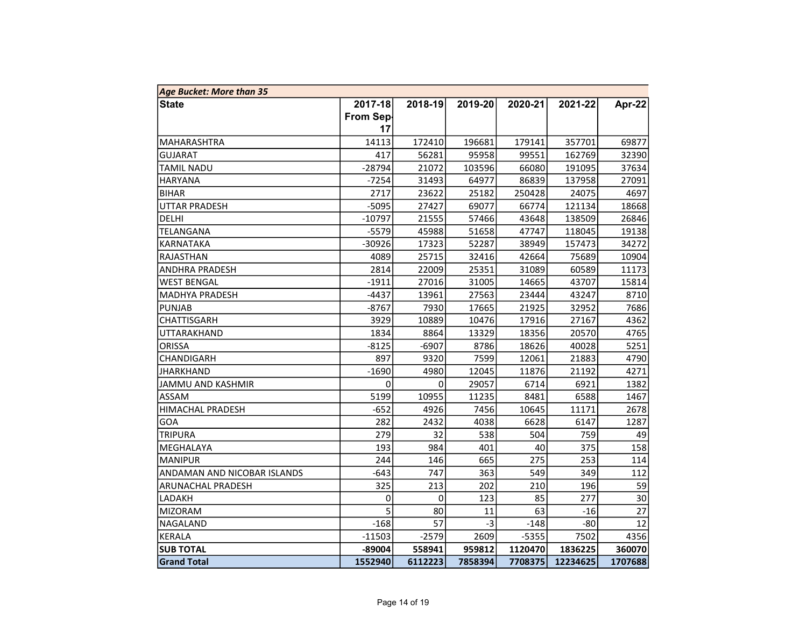| <b>Age Bucket: More than 35</b> |           |         |         |         |          |         |  |  |  |
|---------------------------------|-----------|---------|---------|---------|----------|---------|--|--|--|
| <b>State</b>                    | 2017-18   | 2018-19 | 2019-20 | 2020-21 | 2021-22  | Apr-22  |  |  |  |
|                                 | From Sep- |         |         |         |          |         |  |  |  |
|                                 | 17        |         |         |         |          |         |  |  |  |
| MAHARASHTRA                     | 14113     | 172410  | 196681  | 179141  | 357701   | 69877   |  |  |  |
| GUJARAT                         | 417       | 56281   | 95958   | 99551   | 162769   | 32390   |  |  |  |
| TAMIL NADU                      | -28794    | 21072   | 103596  | 66080   | 191095   | 37634   |  |  |  |
| HARYANA                         | $-7254$   | 31493   | 64977   | 86839   | 137958   | 27091   |  |  |  |
| <b>BIHAR</b>                    | 2717      | 23622   | 25182   | 250428  | 24075    | 4697    |  |  |  |
| <b>UTTAR PRADESH</b>            | $-5095$   | 27427   | 69077   | 66774   | 121134   | 18668   |  |  |  |
| DELHI                           | $-10797$  | 21555   | 57466   | 43648   | 138509   | 26846   |  |  |  |
| TELANGANA                       | $-5579$   | 45988   | 51658   | 47747   | 118045   | 19138   |  |  |  |
| KARNATAKA                       | $-30926$  | 17323   | 52287   | 38949   | 157473   | 34272   |  |  |  |
| RAJASTHAN                       | 4089      | 25715   | 32416   | 42664   | 75689    | 10904   |  |  |  |
| ANDHRA PRADESH                  | 2814      | 22009   | 25351   | 31089   | 60589    | 11173   |  |  |  |
| <b>WEST BENGAL</b>              | $-1911$   | 27016   | 31005   | 14665   | 43707    | 15814   |  |  |  |
| MADHYA PRADESH                  | $-4437$   | 13961   | 27563   | 23444   | 43247    | 8710    |  |  |  |
| <b>PUNJAB</b>                   | $-8767$   | 7930    | 17665   | 21925   | 32952    | 7686    |  |  |  |
| CHATTISGARH                     | 3929      | 10889   | 10476   | 17916   | 27167    | 4362    |  |  |  |
| UTTARAKHAND                     | 1834      | 8864    | 13329   | 18356   | 20570    | 4765    |  |  |  |
| <b>ORISSA</b>                   | $-8125$   | $-6907$ | 8786    | 18626   | 40028    | 5251    |  |  |  |
| CHANDIGARH                      | 897       | 9320    | 7599    | 12061   | 21883    | 4790    |  |  |  |
| <b>JHARKHAND</b>                | $-1690$   | 4980    | 12045   | 11876   | 21192    | 4271    |  |  |  |
| JAMMU AND KASHMIR               | 0         | 0       | 29057   | 6714    | 6921     | 1382    |  |  |  |
| ASSAM                           | 5199      | 10955   | 11235   | 8481    | 6588     | 1467    |  |  |  |
| HIMACHAL PRADESH                | $-652$    | 4926    | 7456    | 10645   | 11171    | 2678    |  |  |  |
| GOA                             | 282       | 2432    | 4038    | 6628    | 6147     | 1287    |  |  |  |
| TRIPURA                         | 279       | 32      | 538     | 504     | 759      | 49      |  |  |  |
| MEGHALAYA                       | 193       | 984     | 401     | 40      | 375      | 158     |  |  |  |
| <b>MANIPUR</b>                  | 244       | 146     | 665     | 275     | 253      | 114     |  |  |  |
| ANDAMAN AND NICOBAR ISLANDS     | $-643$    | 747     | 363     | 549     | 349      | 112     |  |  |  |
| ARUNACHAL PRADESH               | 325       | 213     | 202     | 210     | 196      | 59      |  |  |  |
| LADAKH                          | 0         | 0       | 123     | 85      | 277      | 30      |  |  |  |
| MIZORAM                         | 5         | 80      | 11      | 63      | $-16$    | 27      |  |  |  |
| NAGALAND                        | $-168$    | 57      | -31     | $-148$  | $-80$    | 12      |  |  |  |
| KERALA                          | $-11503$  | $-2579$ | 2609    | $-5355$ | 7502     | 4356    |  |  |  |
| <b>SUB TOTAL</b>                | -89004    | 558941  | 959812  | 1120470 | 1836225  | 360070  |  |  |  |
| <b>Grand Total</b>              | 1552940   | 6112223 | 7858394 | 7708375 | 12234625 | 1707688 |  |  |  |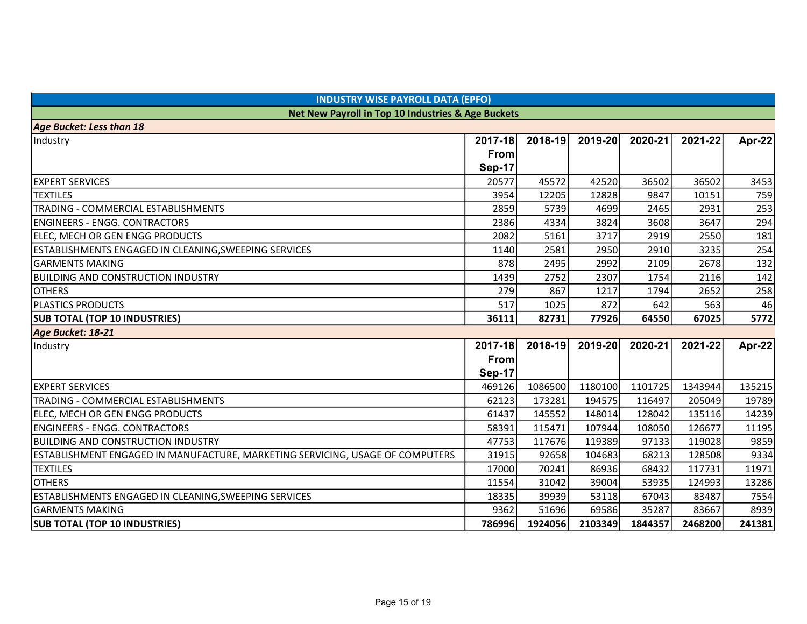| <b>INDUSTRY WISE PAYROLL DATA (EPFO)</b>                                      |               |         |         |         |         |               |  |  |  |  |
|-------------------------------------------------------------------------------|---------------|---------|---------|---------|---------|---------------|--|--|--|--|
| Net New Payroll in Top 10 Industries & Age Buckets                            |               |         |         |         |         |               |  |  |  |  |
| <b>Age Bucket: Less than 18</b>                                               |               |         |         |         |         |               |  |  |  |  |
| Industry                                                                      | 2017-18       | 2018-19 | 2019-20 | 2020-21 | 2021-22 | Apr-22        |  |  |  |  |
|                                                                               | <b>From</b>   |         |         |         |         |               |  |  |  |  |
|                                                                               | <b>Sep-17</b> |         |         |         |         |               |  |  |  |  |
| <b>EXPERT SERVICES</b>                                                        | 20577         | 45572   | 42520   | 36502   | 36502   | 3453          |  |  |  |  |
| <b>TEXTILES</b>                                                               | 3954          | 12205   | 12828   | 9847    | 10151   | 759           |  |  |  |  |
| TRADING - COMMERCIAL ESTABLISHMENTS                                           | 2859          | 5739    | 4699    | 2465    | 2931    | 253           |  |  |  |  |
| <b>ENGINEERS - ENGG. CONTRACTORS</b>                                          | 2386          | 4334    | 3824    | 3608    | 3647    | 294           |  |  |  |  |
| ELEC, MECH OR GEN ENGG PRODUCTS                                               | 2082          | 5161    | 3717    | 2919    | 2550    | 181           |  |  |  |  |
| ESTABLISHMENTS ENGAGED IN CLEANING, SWEEPING SERVICES                         | 1140          | 2581    | 2950    | 2910    | 3235    | 254           |  |  |  |  |
| <b>GARMENTS MAKING</b>                                                        | 878           | 2495    | 2992    | 2109    | 2678    | 132           |  |  |  |  |
| <b>BUILDING AND CONSTRUCTION INDUSTRY</b>                                     | 1439          | 2752    | 2307    | 1754    | 2116    | 142           |  |  |  |  |
| <b>OTHERS</b>                                                                 | 279           | 867     | 1217    | 1794    | 2652    | 258           |  |  |  |  |
| <b>PLASTICS PRODUCTS</b>                                                      | 517           | 1025    | 872     | 642     | 563     | 46            |  |  |  |  |
| <b>SUB TOTAL (TOP 10 INDUSTRIES)</b>                                          | 36111         | 82731   | 77926   | 64550   | 67025   | 5772          |  |  |  |  |
| Age Bucket: 18-21                                                             |               |         |         |         |         |               |  |  |  |  |
| Industry                                                                      | 2017-18       | 2018-19 | 2019-20 | 2020-21 | 2021-22 | <b>Apr-22</b> |  |  |  |  |
|                                                                               | From          |         |         |         |         |               |  |  |  |  |
|                                                                               | <b>Sep-17</b> |         |         |         |         |               |  |  |  |  |
| <b>EXPERT SERVICES</b>                                                        | 469126        | 1086500 | 1180100 | 1101725 | 1343944 | 135215        |  |  |  |  |
| TRADING - COMMERCIAL ESTABLISHMENTS                                           | 62123         | 173281  | 194575  | 116497  | 205049  | 19789         |  |  |  |  |
| ELEC, MECH OR GEN ENGG PRODUCTS                                               | 61437         | 145552  | 148014  | 128042  | 135116  | 14239         |  |  |  |  |
| <b>ENGINEERS - ENGG. CONTRACTORS</b>                                          | 58391         | 115471  | 107944  | 108050  | 126677  | 11195         |  |  |  |  |
| <b>BUILDING AND CONSTRUCTION INDUSTRY</b>                                     | 47753         | 117676  | 119389  | 97133   | 119028  | 9859          |  |  |  |  |
| ESTABLISHMENT ENGAGED IN MANUFACTURE, MARKETING SERVICING, USAGE OF COMPUTERS | 31915         | 92658   | 104683  | 68213   | 128508  | 9334          |  |  |  |  |
| <b>TEXTILES</b>                                                               | 17000         | 70241   | 86936   | 68432   | 117731  | 11971         |  |  |  |  |
| <b>OTHERS</b>                                                                 | 11554         | 31042   | 39004   | 53935   | 124993  | 13286         |  |  |  |  |
| ESTABLISHMENTS ENGAGED IN CLEANING, SWEEPING SERVICES                         | 18335         | 39939   | 53118   | 67043   | 83487   | 7554          |  |  |  |  |
| <b>GARMENTS MAKING</b>                                                        | 9362          | 51696   | 69586   | 35287   | 83667   | 8939          |  |  |  |  |
| <b>SUB TOTAL (TOP 10 INDUSTRIES)</b>                                          | 786996        | 1924056 | 2103349 | 1844357 | 2468200 | 241381        |  |  |  |  |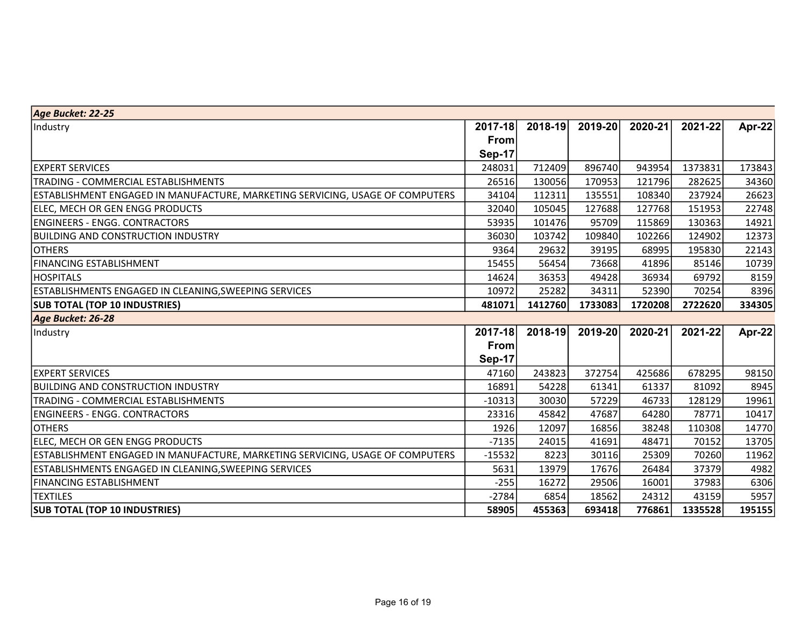| Age Bucket: 22-25                                                             |               |         |         |         |         |               |
|-------------------------------------------------------------------------------|---------------|---------|---------|---------|---------|---------------|
| Industry                                                                      | 2017-18       | 2018-19 | 2019-20 | 2020-21 | 2021-22 | <b>Apr-22</b> |
|                                                                               | From          |         |         |         |         |               |
|                                                                               | Sep-17        |         |         |         |         |               |
| <b>EXPERT SERVICES</b>                                                        | 248031        | 712409  | 896740  | 943954  | 1373831 | 173843        |
| TRADING - COMMERCIAL ESTABLISHMENTS                                           | 26516         | 130056  | 170953  | 121796  | 282625  | 34360         |
| ESTABLISHMENT ENGAGED IN MANUFACTURE, MARKETING SERVICING, USAGE OF COMPUTERS | 34104         | 112311  | 135551  | 108340  | 237924  | 26623         |
| ELEC, MECH OR GEN ENGG PRODUCTS                                               | 32040         | 105045  | 127688  | 127768  | 151953  | 22748         |
| ENGINEERS - ENGG. CONTRACTORS                                                 | 53935         | 101476  | 95709   | 115869  | 130363  | 14921         |
| BUILDING AND CONSTRUCTION INDUSTRY                                            | 36030         | 103742  | 109840  | 102266  | 124902  | 12373         |
| <b>OTHERS</b>                                                                 | 9364          | 29632   | 39195   | 68995   | 195830  | 22143         |
| <b>FINANCING ESTABLISHMENT</b>                                                | 15455         | 56454   | 73668   | 41896   | 85146   | 10739         |
| <b>HOSPITALS</b>                                                              | 14624         | 36353   | 49428   | 36934   | 69792   | 8159          |
| ESTABLISHMENTS ENGAGED IN CLEANING, SWEEPING SERVICES                         | 10972         | 25282   | 34311   | 52390   | 70254   | 8396          |
| <b>SUB TOTAL (TOP 10 INDUSTRIES)</b>                                          | 481071        | 1412760 | 1733083 | 1720208 | 2722620 | 334305        |
| Age Bucket: 26-28                                                             |               |         |         |         |         |               |
| Industry                                                                      | 2017-18       | 2018-19 | 2019-20 | 2020-21 | 2021-22 | <b>Apr-22</b> |
|                                                                               | <b>From</b>   |         |         |         |         |               |
|                                                                               | <b>Sep-17</b> |         |         |         |         |               |
| <b>EXPERT SERVICES</b>                                                        | 47160         | 243823  | 372754  | 425686  | 678295  | 98150         |
| <b>BUILDING AND CONSTRUCTION INDUSTRY</b>                                     | 16891         | 54228   | 61341   | 61337   | 81092   | 8945          |
| TRADING - COMMERCIAL ESTABLISHMENTS                                           | $-10313$      | 30030   | 57229   | 46733   | 128129  | 19961         |
| <b>ENGINEERS - ENGG. CONTRACTORS</b>                                          | 23316         | 45842   | 47687   | 64280   | 78771   | 10417         |
| <b>OTHERS</b>                                                                 | 1926          | 12097   | 16856   | 38248   | 110308  | 14770         |
| ELEC, MECH OR GEN ENGG PRODUCTS                                               | $-7135$       | 24015   | 41691   | 48471   | 70152   | 13705         |
| ESTABLISHMENT ENGAGED IN MANUFACTURE, MARKETING SERVICING, USAGE OF COMPUTERS | $-15532$      | 8223    | 30116   | 25309   | 70260   | 11962         |
| ESTABLISHMENTS ENGAGED IN CLEANING,SWEEPING SERVICES                          | 5631          | 13979   | 17676   | 26484   | 37379   | 4982          |
| <b>FINANCING ESTABLISHMENT</b>                                                | $-255$        | 16272   | 29506   | 16001   | 37983   | 6306          |
| <b>TEXTILES</b>                                                               | $-2784$       | 6854    | 18562   | 24312   | 43159   | 5957          |
| <b>SUB TOTAL (TOP 10 INDUSTRIES)</b>                                          | 58905         | 455363  | 693418  | 776861  | 1335528 | 195155        |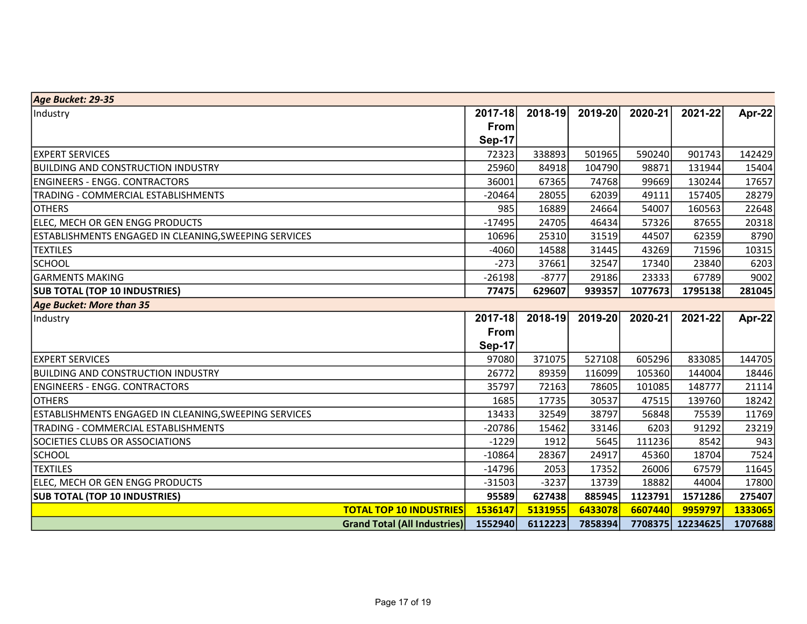| Age Bucket: 29-35                                     |                                     |               |         |         |         |          |               |
|-------------------------------------------------------|-------------------------------------|---------------|---------|---------|---------|----------|---------------|
| Industry                                              |                                     | 2017-18       | 2018-19 | 2019-20 | 2020-21 | 2021-22  | <b>Apr-22</b> |
|                                                       |                                     | From          |         |         |         |          |               |
|                                                       |                                     | <b>Sep-17</b> |         |         |         |          |               |
| <b>EXPERT SERVICES</b>                                |                                     | 72323         | 338893  | 501965  | 590240  | 901743   | 142429        |
| <b>BUILDING AND CONSTRUCTION INDUSTRY</b>             |                                     | 25960         | 84918   | 104790  | 98871   | 131944   | 15404         |
| <b>ENGINEERS - ENGG. CONTRACTORS</b>                  |                                     | 36001         | 67365   | 74768   | 99669   | 130244   | 17657         |
| TRADING - COMMERCIAL ESTABLISHMENTS                   |                                     | $-20464$      | 28055   | 62039   | 49111   | 157405   | 28279         |
| <b>OTHERS</b>                                         |                                     | 985           | 16889   | 24664   | 54007   | 160563   | 22648         |
| ELEC, MECH OR GEN ENGG PRODUCTS                       |                                     | $-17495$      | 24705   | 46434   | 57326   | 87655    | 20318         |
| ESTABLISHMENTS ENGAGED IN CLEANING, SWEEPING SERVICES |                                     | 10696         | 25310   | 31519   | 44507   | 62359    | 8790          |
| <b>TEXTILES</b>                                       |                                     | $-4060$       | 14588   | 31445   | 43269   | 71596    | 10315         |
| SCHOOL                                                |                                     | $-273$        | 37661   | 32547   | 17340   | 23840    | 6203          |
| <b>GARMENTS MAKING</b>                                |                                     | $-26198$      | $-8777$ | 29186   | 23333   | 67789    | 9002          |
| <b>SUB TOTAL (TOP 10 INDUSTRIES)</b>                  |                                     | 77475         | 629607  | 939357  | 1077673 | 1795138  | 281045        |
| Age Bucket: More than 35                              |                                     |               |         |         |         |          |               |
| Industry                                              |                                     | 2017-18       | 2018-19 | 2019-20 | 2020-21 | 2021-22  | Apr-22        |
|                                                       |                                     | <b>From</b>   |         |         |         |          |               |
|                                                       |                                     | <b>Sep-17</b> |         |         |         |          |               |
| <b>EXPERT SERVICES</b>                                |                                     | 97080         | 371075  | 527108  | 605296  | 833085   | 144705        |
| BUILDING AND CONSTRUCTION INDUSTRY                    |                                     | 26772         | 89359   | 116099  | 105360  | 144004   | 18446         |
| <b>ENGINEERS - ENGG. CONTRACTORS</b>                  |                                     | 35797         | 72163   | 78605   | 101085  | 148777   | 21114         |
| <b>OTHERS</b>                                         |                                     | 1685          | 17735   | 30537   | 47515   | 139760   | 18242         |
| ESTABLISHMENTS ENGAGED IN CLEANING,SWEEPING SERVICES  |                                     | 13433         | 32549   | 38797   | 56848   | 75539    | 11769         |
| TRADING - COMMERCIAL ESTABLISHMENTS                   |                                     | $-20786$      | 15462   | 33146   | 6203    | 91292    | 23219         |
| SOCIETIES CLUBS OR ASSOCIATIONS                       |                                     | $-1229$       | 1912    | 5645    | 111236  | 8542     | 943           |
| <b>SCHOOL</b>                                         |                                     | $-10864$      | 28367   | 24917   | 45360   | 18704    | 7524          |
| <b>TEXTILES</b>                                       |                                     | $-14796$      | 2053    | 17352   | 26006   | 67579    | 11645         |
| ELEC, MECH OR GEN ENGG PRODUCTS                       |                                     | $-31503$      | $-3237$ | 13739   | 18882   | 44004    | 17800         |
| <b>SUB TOTAL (TOP 10 INDUSTRIES)</b>                  |                                     | 95589         | 627438  | 885945  | 1123791 | 1571286  | 275407        |
|                                                       | <b>TOTAL TOP 10 INDUSTRIES</b>      | 1536147       | 5131955 | 6433078 | 6607440 | 9959797  | 1333065       |
|                                                       | <b>Grand Total (All Industries)</b> | 1552940       | 6112223 | 7858394 | 7708375 | 12234625 | 1707688       |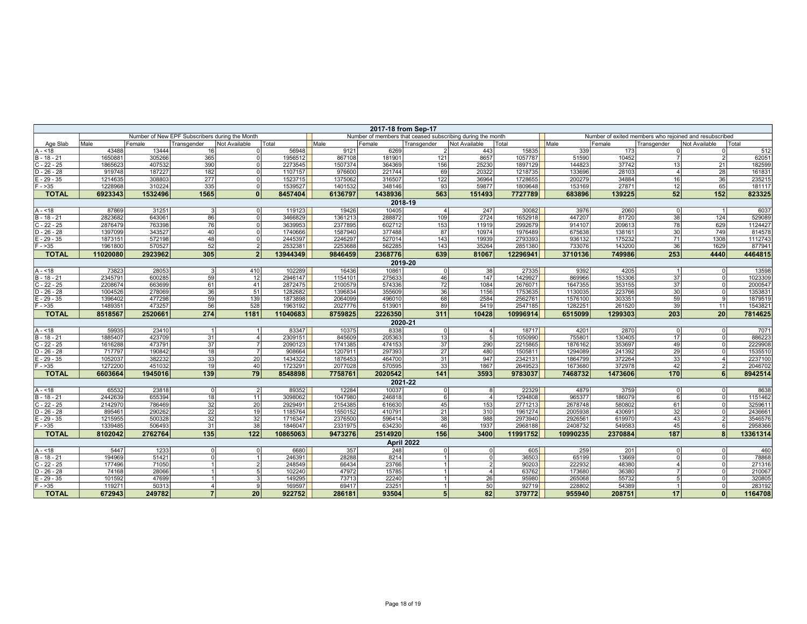| 2017-18 from Sep-17            |                    |                  |                                                |                                  |                    |                    |                  |                                                            |                |                    |                    |                  |                 |                                                        |                   |
|--------------------------------|--------------------|------------------|------------------------------------------------|----------------------------------|--------------------|--------------------|------------------|------------------------------------------------------------|----------------|--------------------|--------------------|------------------|-----------------|--------------------------------------------------------|-------------------|
|                                |                    |                  | Number of New EPF Subscribers during the Month |                                  |                    |                    |                  | Number of members that ceased subscribing during the month |                |                    |                    |                  |                 | Number of exited members who rejoined and resubscribed |                   |
| Age Slab                       | Male               | Female           | Transgender                                    | Not Available                    | Total              | Male               | Female           | Transgender                                                | Not Available  | Total              | Male               | Female           | Transgender     | Not Available                                          | Total             |
| $A - 18$                       | 43488              | 13444            | 16                                             | $\Omega$                         | 56948              | 9121               | 6269             | 2                                                          | 443            | 15835              | 339                | 173              | $\overline{0}$  | $\Omega$                                               | 512               |
| $B - 18 - 21$                  | 1650881            | 305266           | 365                                            | $\circ$                          | 1956512            | 867108             | 181901           | $\overline{121}$                                           | 8657           | 1057787            | 51590              | 10452            | 7               | $\mathcal{P}$                                          | 62051             |
| $C - 22 - 25$                  | 1865623            | 407532           | 390                                            | 0l                               | 2273545            | 1507374            | 364369           | 156                                                        | 25230          | 1897129            | 144823             | 37742            | 13              | 21                                                     | 182599            |
| $D - 26 - 28$                  | 919748             | 187227           | 182                                            | $\overline{0}$                   | 1107157            | 976600             | 221744           | 69                                                         | 20322          | 1218735            | 133696             | 28103            | 4 <sup>1</sup>  | 28                                                     | 161831            |
| $E - 29 - 35$<br>$-35$         | 1214635<br>1228968 | 308803<br>310224 | 277<br>335                                     | $\overline{0}$<br>$\overline{0}$ | 1523715<br>1539527 | 1375062<br>1401532 | 316507<br>348146 | 122<br>93                                                  | 36964<br>59877 | 1728655<br>1809648 | 200279<br>153169   | 34884<br>27871   | 16<br>12        | 36<br>65                                               | 235215<br>181117  |
| <b>TOTAL</b>                   | 6923343            | 1532496          | 1565                                           | 0                                | 8457404            | 6136797            | 1438936          | 563                                                        | 151493         | 7727789            | 683896             | 139225           | 52              | 152                                                    | 823325            |
|                                |                    |                  |                                                |                                  |                    |                    |                  | 2018-19                                                    |                |                    |                    |                  |                 |                                                        |                   |
| $A - 18$                       | 87869              | 31251            | 3                                              | 0l                               | 119123             | 19426              | 10405            | 4 <sup>1</sup>                                             | 247            | 30082              | 3976               | 2060             | 0               | - 1                                                    | 6037              |
| $B - 18 - 21$                  | 2823682            | 643061           | 86                                             | 0                                | 3466829            | 1361213            | 288872           | 109                                                        | 2724           | 1652918            | 447207             | 81720            | 38              | 124                                                    | 529089            |
| $C - 22 - 25$                  | 2876479            | 763398           | 76                                             | 0                                | 3639953            | 2377895            | 602712           | 153                                                        | 11919          | 2992679            | 914107             | 209613           | 78              | 629                                                    | 1124427           |
| $D - 26 - 28$                  | 1397099            | 343527           | 40                                             | $\Omega$                         | 1740666            | 1587940            | 377488           | 87                                                         | 10974          | 1976489            | 675638             | 138161           | 30              | 749                                                    | 814578            |
| $E - 29 - 35$                  | 1873151            | 572198           | 48                                             | $\overline{0}$                   | 2445397            | 2246297            | 527014           | 143                                                        | 19939          | 2793393            | 936132             | 175232           | 71              | 1308                                                   | 1112743           |
| $F - 35$                       | 1961800            | 570527           | 52                                             | $\overline{2}$                   | 2532381            | 2253688            | 562285           | 143                                                        | 35264          | 2851380            | 733076             | 143200           | 36              | 1629                                                   | 877941            |
| <b>TOTAL</b>                   | 11020080           | 2923962          | 305                                            | $\overline{2}$                   | 13944349           | 9846459            | 2368776          | 639                                                        | 81067          | 12296941           | 3710136            | 749986           | 253             | 4440                                                   | 4464815           |
|                                |                    |                  |                                                |                                  |                    |                    |                  | 2019-20                                                    |                |                    |                    |                  |                 |                                                        |                   |
| $A - 18$                       | 73823              | 28053            | $\mathbf{3}$                                   | 410                              | 102289             | 16436              | 10861            | 0                                                          | 38             | 27335              | 9392               | 4205             | 1               | $\Omega$                                               | 13598             |
| $B - 18 - 21$                  | 2345791            | 600285           | 59                                             | 12                               | 2946147            | 1154101            | 275633           | 46                                                         | 147            | 1429927            | 869966             | 153306           | 37              | 0                                                      | 1023309           |
| $C - 22 - 25$                  | 2208674            | 663699           | 61                                             | 41                               | 2872475            | 2100579            | 574336           | 72                                                         | 1084           | 2676071            | 1647355            | 353155           | 37              | $\Omega$                                               | 2000547           |
| $D - 26 - 28$                  | 1004526            | 278069           | 36                                             | 51                               | 1282682            | 1396834            | 355609           | 36                                                         | 1156           | 1753635            | 1130035            | 223766           | 30              | $\Omega$                                               | 1353831           |
| $E - 29 - 35$                  | 1396402            | 477298           | 59                                             | 139                              | 1873898            | 2064099            | 496010           | 68                                                         | 2584           | 2562761            | 1576100            | 303351           | 59              | -9                                                     | 1879519           |
| $F - 35$                       | 1489351            | 473257           | 56                                             | 528                              | 1963192            | 2027776            | 513901           | 89                                                         | 5419           | 2547185            | 1282251            | 261520           | 39              | 11                                                     | 1543821           |
| <b>TOTAL</b>                   | 8518567            | 2520661          | 274                                            | 1181                             | 11040683           | 8759825            | 2226350          | 311                                                        | 10428          | 10996914           | 6515099            | 1299303          | 203             | 20                                                     | 7814625           |
|                                |                    |                  |                                                |                                  |                    |                    |                  | 2020-21                                                    |                |                    |                    |                  |                 |                                                        |                   |
| $A - 18$                       | 59935              | 23410            | $\overline{1}$                                 | $\mathbf{1}$                     | 83347              | 10375              | 8338             | -ol                                                        | 4 <sup>1</sup> | 18717              | 4201               | 2870             | 0               | $\Omega$                                               | 7071              |
| $B - 18 - 21$                  | 1885407<br>1616288 | 423709           | 31<br>37                                       | $\overline{4}$<br>$\overline{7}$ | 2309151            | 845609             | 205363           | 13                                                         | $\overline{5}$ | 1050990            | 755801             | 130405           | 17<br>49        | $\Omega$                                               | 886223<br>2229908 |
| $C - 22 - 25$<br>$D - 26 - 28$ | 717797             | 473791<br>190842 | 18                                             | $\overline{7}$                   | 2090123<br>908664  | 1741385<br>1207911 | 474153<br>297393 | 37<br>27                                                   | 290<br>480     | 2215865<br>1505811 | 1876162<br>1294089 | 353697<br>241392 | 29              | $\Omega$                                               | 1535510           |
| $E - 29 - 35$                  | 1052037            | 382232           | 33                                             | 20                               | 1434322            | 1876453            | 464700           | 31                                                         | 947            | 2342131            | 1864799            | 372264           | 33              | $\overline{4}$                                         | 2237100           |
| $F - 35$                       | 1272200            | 451032           | 19                                             | 40                               | 1723291            | 2077028            | 570595           | 33                                                         | 1867           | 2649523            | 1673680            | 372978           | 42              | 2                                                      | 2046702           |
| <b>TOTAL</b>                   | 6603664            | 1945016          | 139                                            | 79                               | 8548898            | 7758761            | 2020542          | 141                                                        | 3593           | 9783037            | 7468732            | 1473606          | 170             | 6                                                      | 8942514           |
|                                |                    |                  |                                                |                                  |                    |                    |                  | 2021-22                                                    |                |                    |                    |                  |                 |                                                        |                   |
| $A - 18$                       | 65532              | 23818            | $\mathbf{0}$                                   | $\overline{2}$                   | 89352              | 12284              | 10037            | -o l                                                       | 8              | 22329              | 4879               | 3759             | 0               | 0                                                      | 8638              |
| $B - 18 - 21$                  | 2442639            | 655394           | 18                                             | 11                               | 3098062            | 1047980            | 246818           | 6                                                          | $\overline{A}$ | 1294808            | 965377             | 186079           | 6               |                                                        | 1151462           |
| $C - 22 - 25$                  | 2142970            | 786469           | 32                                             | 20                               | 2929491            | 2154385            | 616630           | 45                                                         | 153            | 2771213            | 2678748            | 580802           | 61              | $\Omega$                                               | 3259611           |
| $D - 26 - 28$                  | 895461             | 290262           | 22                                             | 19                               | 1185764            | 1550152            | 410791           | 21                                                         | 310            | 1961274            | 2005938            | 430691           | 32              | $\Omega$                                               | 2436661           |
| $E - 29 - 35$                  | 1215955            | 500328           | 32                                             | 32                               | 1716347            | 2376500            | 596414           | 38                                                         | 988            | 2973940            | 2926561            | 619970           | 43              | 2 <sup>1</sup>                                         | 3546576           |
| $F - 35$                       | 1339485            | 506493           | 31                                             | 38                               | 1846047            | 2331975            | 634230           | 46                                                         | 1937           | 2968188            | 2408732            | 549583           | 45              | 61                                                     | 2958366           |
| <b>TOTAL</b>                   | 8102042            | 2762764          | $\overline{135}$                               | 122                              | 10865063           | 9473276            | 2514920          | 156                                                        | 3400           | 11991752           | 10990235           | 2370884          | 187             | 8 <sup>1</sup>                                         | 13361314          |
|                                |                    |                  |                                                |                                  |                    |                    |                  | April 2022                                                 |                |                    |                    |                  |                 |                                                        |                   |
| $A - 18$                       | 5447               | 1233             | $\overline{0}$                                 | 0                                | 6680               | 357                | 248              | 0                                                          | $\overline{0}$ | 605                | 259                | 201              | 0               | $\Omega$                                               | 460               |
| $B - 18 - 21$                  | 194969             | 51421            | $\mathbf{0}$                                   |                                  | 246391             | 28288              | 8214             | 1                                                          | $\Omega$       | 36503              | 65199              | 13669            | 0               |                                                        | 78868             |
| $C - 22 - 25$                  | 177496             | 71050            | $\overline{1}$                                 | $\overline{2}$                   | 248549             | 66434              | 23766            | $\overline{1}$                                             | $\overline{2}$ | 90203              | 222932             | 48380            | 4 <sup>1</sup>  | $\Omega$                                               | 271316            |
| $D - 26 - 28$                  | 74168              | 28066            |                                                | 5                                | 102240             | 47972              | 15785            | $\overline{1}$                                             | $\overline{4}$ | 63762              | 173680             | 36380            | $\overline{7}$  | $\Omega$                                               | 210067            |
| $E - 29 - 35$<br>$-235$        | 101592<br>119271   | 47699<br>50313   | $\overline{4}$                                 | $\overline{3}$<br>9              | 149295<br>169597   | 73713<br>69417     | 22240<br>23251   | 1<br>$\mathbf{1}$                                          | 26<br>50       | 95980<br>92719     | 265068<br>228802   | 55732<br>54389   | 5               | $\Omega$                                               | 320805<br>283192  |
|                                |                    |                  |                                                |                                  |                    |                    |                  | 5                                                          |                |                    |                    |                  |                 |                                                        |                   |
| <b>TOTAL</b>                   | 672943             | 249782           | $\overline{7}$                                 | 20 <sub>2</sub>                  | 922752             | 286181             | 93504            |                                                            | 82             | 379772             | 955940             | 208751           | 17 <sup>1</sup> | $\Omega$                                               | 1164708           |